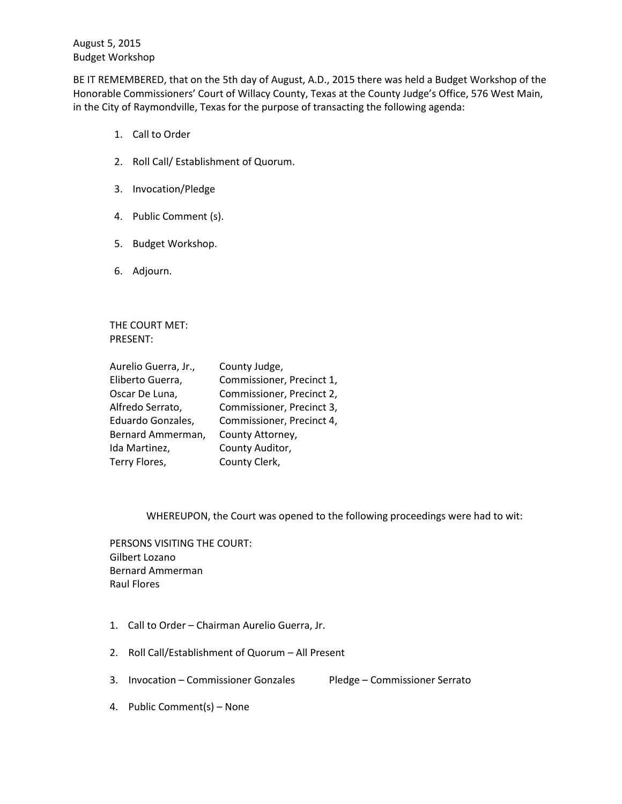August 5, 2015 Budget Workshop

BE IT REMEMBERED, that on the 5th day of August, A.D., 2015 there was held a Budget Workshop of the Honorable Commissioners' Court of Willacy County, Texas at the County Judge's Office, 576 West Main, in the City of Raymondville, Texas for the purpose of transacting the following agenda:

- 1. Call to Order
- 2. Roll Call/ Establishment of Quorum.
- 3. Invocation/Pledge
- 4. Public Comment (s).
- 5. Budget Workshop.
- 6. Adjourn.

THE COURT MET: PRESENT:

| Aurelio Guerra, Jr., | County Judge,             |
|----------------------|---------------------------|
| Eliberto Guerra,     | Commissioner, Precinct 1, |
| Oscar De Luna,       | Commissioner, Precinct 2, |
| Alfredo Serrato,     | Commissioner, Precinct 3, |
| Eduardo Gonzales,    | Commissioner, Precinct 4, |
| Bernard Ammerman,    | County Attorney,          |
| Ida Martinez,        | County Auditor,           |
| Terry Flores,        | County Clerk,             |

WHEREUPON, the Court was opened to the following proceedings were had to wit:

PERSONS VISITING THE COURT: Gilbert Lozano Bernard Ammerman Raul Flores

- 1. Call to Order Chairman Aurelio Guerra, Jr.
- 2. Roll Call/Establishment of Quorum All Present
- 3. Invocation Commissioner Gonzales Pledge Commissioner Serrato

4. Public Comment(s) – None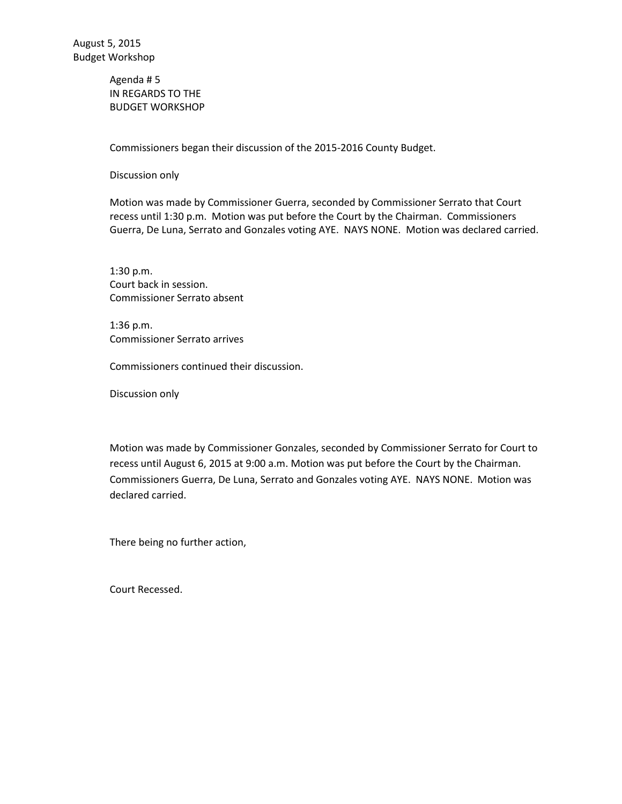Agenda # 5 IN REGARDS TO THE BUDGET WORKSHOP

Commissioners began their discussion of the 2015-2016 County Budget.

Discussion only

Motion was made by Commissioner Guerra, seconded by Commissioner Serrato that Court recess until 1:30 p.m. Motion was put before the Court by the Chairman. Commissioners Guerra, De Luna, Serrato and Gonzales voting AYE. NAYS NONE. Motion was declared carried.

1:30 p.m. Court back in session. Commissioner Serrato absent

1:36 p.m. Commissioner Serrato arrives

Commissioners continued their discussion.

Discussion only

Motion was made by Commissioner Gonzales, seconded by Commissioner Serrato for Court to recess until August 6, 2015 at 9:00 a.m. Motion was put before the Court by the Chairman. Commissioners Guerra, De Luna, Serrato and Gonzales voting AYE. NAYS NONE. Motion was declared carried.

There being no further action,

Court Recessed.